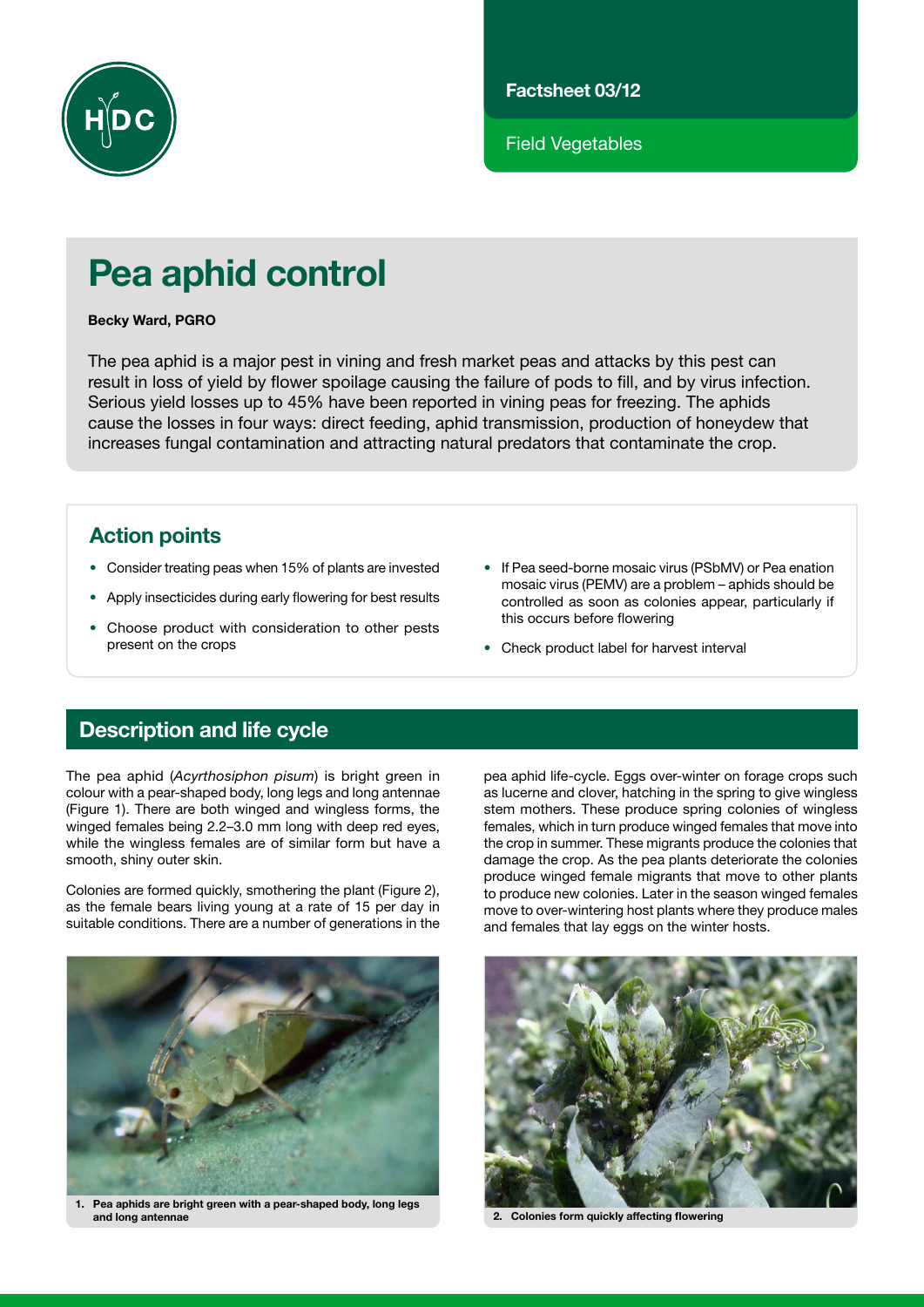

Factsheet 03/12

Field Vegetables

# Pea aphid control

#### Becky Ward, PGRO

The pea aphid is a major pest in vining and fresh market peas and attacks by this pest can result in loss of yield by flower spoilage causing the failure of pods to fill, and by virus infection. Serious yield losses up to 45% have been reported in vining peas for freezing. The aphids cause the losses in four ways: direct feeding, aphid transmission, production of honeydew that increases fungal contamination and attracting natural predators that contaminate the crop.

### Action points

- Consider treating peas when 15% of plants are invested
- • Apply insecticides during early flowering for best results
- Choose product with consideration to other pests present on the crops
- If Pea seed-borne mosaic virus (PSbMV) or Pea enation mosaic virus (PEMV) are a problem – aphids should be controlled as soon as colonies appear, particularly if this occurs before flowering
- Check product label for harvest interval

## Description and life cycle

The pea aphid (*Acyrthosiphon pisum*) is bright green in colour with a pear-shaped body, long legs and long antennae (Figure 1). There are both winged and wingless forms, the winged females being 2.2–3.0 mm long with deep red eyes, while the wingless females are of similar form but have a smooth, shiny outer skin.

Colonies are formed quickly, smothering the plant (Figure 2), as the female bears living young at a rate of 15 per day in suitable conditions. There are a number of generations in the



1. Pea aphids are bright green with a pear-shaped body, long legs and long antennae 2. Colonies form quickly affecting flowering

pea aphid life-cycle. Eggs over-winter on forage crops such as lucerne and clover, hatching in the spring to give wingless stem mothers. These produce spring colonies of wingless females, which in turn produce winged females that move into the crop in summer. These migrants produce the colonies that damage the crop. As the pea plants deteriorate the colonies produce winged female migrants that move to other plants to produce new colonies. Later in the season winged females move to over-wintering host plants where they produce males and females that lay eggs on the winter hosts.

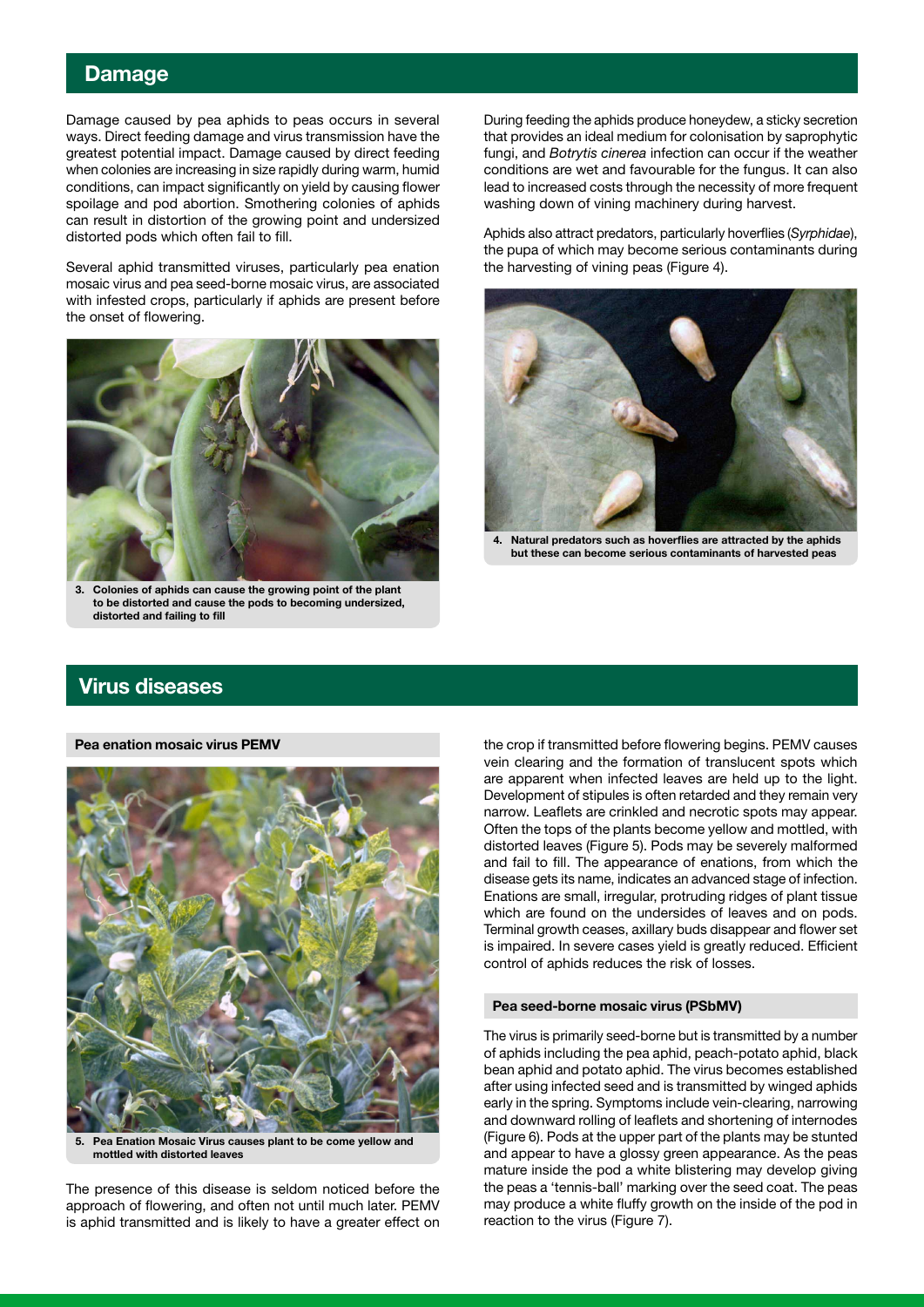#### Damage

Damage caused by pea aphids to peas occurs in several ways. Direct feeding damage and virus transmission have the greatest potential impact. Damage caused by direct feeding when colonies are increasing in size rapidly during warm, humid conditions, can impact significantly on yield by causing flower spoilage and pod abortion. Smothering colonies of aphids can result in distortion of the growing point and undersized distorted pods which often fail to fill.

Several aphid transmitted viruses, particularly pea enation mosaic virus and pea seed-borne mosaic virus, are associated with infested crops, particularly if aphids are present before the onset of flowering.



Colonies of aphids can cause the growing point of the plant to be distorted and cause the pods to becoming undersized, distorted and failing to fill

During feeding the aphids produce honeydew, a sticky secretion that provides an ideal medium for colonisation by saprophytic fungi, and *Botrytis cinerea* infection can occur if the weather conditions are wet and favourable for the fungus. It can also lead to increased costs through the necessity of more frequent washing down of vining machinery during harvest.

Aphids also attract predators, particularly hoverflies (*Syrphidae*), the pupa of which may become serious contaminants during the harvesting of vining peas (Figure 4).



4. Natural predators such as hoverflies are attracted by the aphids but these can become serious contaminants of harvested peas

#### Virus diseases

#### Pea enation mosaic virus PEMV



Pea Enation Mosaic Virus causes plant to be come yellow and mottled with distorted leaves

The presence of this disease is seldom noticed before the approach of flowering, and often not until much later. PEMV is aphid transmitted and is likely to have a greater effect on

the crop if transmitted before flowering begins. PEMV causes vein clearing and the formation of translucent spots which are apparent when infected leaves are held up to the light. Development of stipules is often retarded and they remain very narrow. Leaflets are crinkled and necrotic spots may appear. Often the tops of the plants become yellow and mottled, with distorted leaves (Figure 5). Pods may be severely malformed and fail to fill. The appearance of enations, from which the disease gets its name, indicates an advanced stage of infection. Enations are small, irregular, protruding ridges of plant tissue which are found on the undersides of leaves and on pods. Terminal growth ceases, axillary buds disappear and flower set is impaired. In severe cases yield is greatly reduced. Efficient control of aphids reduces the risk of losses.

#### Pea seed-borne mosaic virus (PSbMV)

The virus is primarily seed-borne but is transmitted by a number of aphids including the pea aphid, peach-potato aphid, black bean aphid and potato aphid. The virus becomes established after using infected seed and is transmitted by winged aphids early in the spring. Symptoms include vein-clearing, narrowing and downward rolling of leaflets and shortening of internodes (Figure 6). Pods at the upper part of the plants may be stunted and appear to have a glossy green appearance. As the peas mature inside the pod a white blistering may develop giving the peas a 'tennis-ball' marking over the seed coat. The peas may produce a white fluffy growth on the inside of the pod in reaction to the virus (Figure 7).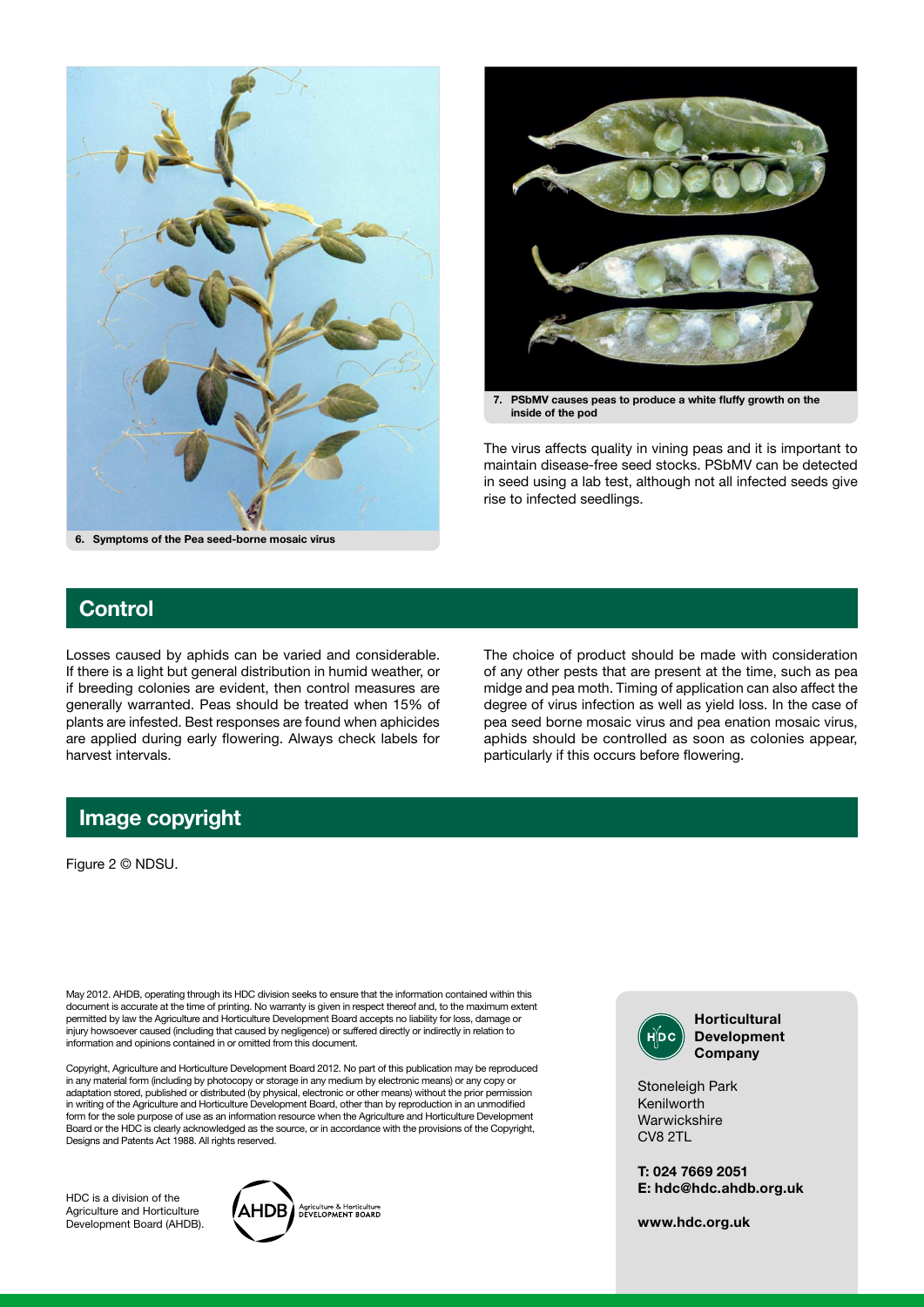



7. PSbMV causes peas to produce a white fluffy growth on the inside of the pod

The virus affects quality in vining peas and it is important to maintain disease-free seed stocks. PSbMV can be detected in seed using a lab test, although not all infected seeds give rise to infected seedlings.

## **Control**

Losses caused by aphids can be varied and considerable. If there is a light but general distribution in humid weather, or if breeding colonies are evident, then control measures are generally warranted. Peas should be treated when 15% of plants are infested. Best responses are found when aphicides are applied during early flowering. Always check labels for harvest intervals.

The choice of product should be made with consideration of any other pests that are present at the time, such as pea midge and pea moth. Timing of application can also affect the degree of virus infection as well as yield loss. In the case of pea seed borne mosaic virus and pea enation mosaic virus, aphids should be controlled as soon as colonies appear, particularly if this occurs before flowering.

### Image copyright

Figure 2 © NDSU.

May 2012. AHDB, operating through its HDC division seeks to ensure that the information contained within this document is accurate at the time of printing. No warranty is given in respect thereof and, to the maximum extent permitted by law the Agriculture and Horticulture Development Board accepts no liability for loss, damage or injury howsoever caused (including that caused by negligence) or suffered directly or indirectly in relation to information and opinions contained in or omitted from this document.

Copyright, Agriculture and Horticulture Development Board 2012. No part of this publication may be reproduced in any material form (including by photocopy or storage in any medium by electronic means) or any copy or adaptation stored, published or distributed (by physical, electronic or other means) without the prior permission in writing of the Agriculture and Horticulture Development Board, other than by reproduction in an unmodified form for the sole purpose of use as an information resource when the Agriculture and Horticulture Development Board or the HDC is clearly acknowledged as the source, or in accordance with the provisions of the Copyright, Designs and Patents Act 1988. All rights reserved.

HDC is a division of the Agriculture and Horticulture Development Board (AHDB).





Development Company

Stoneleigh Park Kenilworth **Warwickshire** CV8 2TL

T: 024 7669 2051 E: hdc@hdc.ahdb.org.uk

www.hdc.org.uk